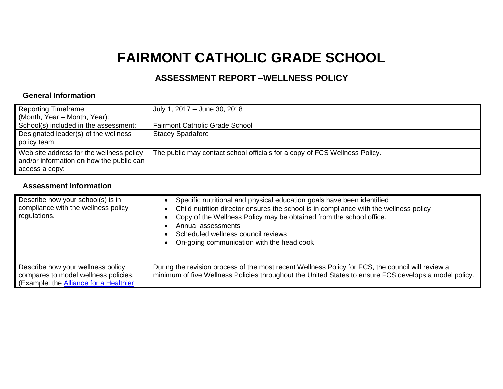## **FAIRMONT CATHOLIC GRADE SCHOOL**

## **ASSESSMENT REPORT –WELLNESS POLICY**

## **General Information**

| <b>Reporting Timeframe</b><br>(Month, Year – Month, Year):                                             | July 1, 2017 – June 30, 2018                                               |
|--------------------------------------------------------------------------------------------------------|----------------------------------------------------------------------------|
| School(s) included in the assessment:                                                                  | <b>Fairmont Catholic Grade School</b>                                      |
| Designated leader(s) of the wellness<br>policy team:                                                   | <b>Stacey Spadafore</b>                                                    |
| Web site address for the wellness policy<br>and/or information on how the public can<br>access a copy: | The public may contact school officials for a copy of FCS Wellness Policy. |

## **Assessment Information**

| Describe how your school(s) is in<br>compliance with the wellness policy<br>regulations.                                   | Specific nutritional and physical education goals have been identified<br>Child nutrition director ensures the school is in compliance with the wellness policy<br>Copy of the Wellness Policy may be obtained from the school office.<br>Annual assessments<br>Scheduled wellness council reviews<br>On-going communication with the head cook |
|----------------------------------------------------------------------------------------------------------------------------|-------------------------------------------------------------------------------------------------------------------------------------------------------------------------------------------------------------------------------------------------------------------------------------------------------------------------------------------------|
| Describe how your wellness policy<br>compares to model wellness policies.<br>(Example: the <b>Alliance for a Healthier</b> | During the revision process of the most recent Wellness Policy for FCS, the council will review a<br>minimum of five Wellness Policies throughout the United States to ensure FCS develops a model policy.                                                                                                                                      |